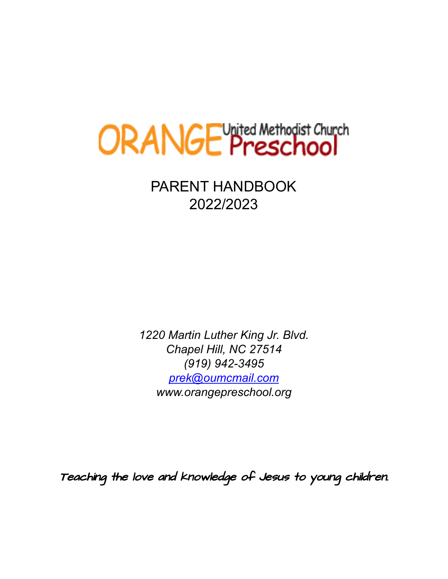

PARENT HANDBOOK 2022/2023

*1220 Martin Luther King Jr. Blvd. Chapel Hill, NC 27514 (919) 942-3495 [prek@oumcmail.com](mailto:prek@oumcmail.com) www.orangepreschool.org*

Teaching the love and knowledge of Jesus to young children.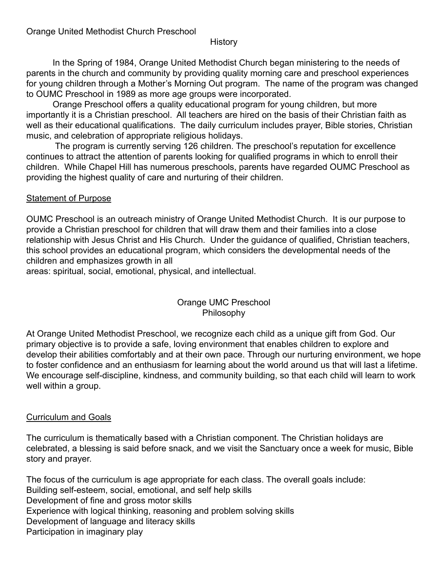#### History

In the Spring of 1984, Orange United Methodist Church began ministering to the needs of parents in the church and community by providing quality morning care and preschool experiences for young children through a Mother's Morning Out program. The name of the program was changed to OUMC Preschool in 1989 as more age groups were incorporated.

Orange Preschool offers a quality educational program for young children, but more importantly it is a Christian preschool. All teachers are hired on the basis of their Christian faith as well as their educational qualifications. The daily curriculum includes prayer, Bible stories, Christian music, and celebration of appropriate religious holidays.

The program is currently serving 126 children. The preschool's reputation for excellence continues to attract the attention of parents looking for qualified programs in which to enroll their children. While Chapel Hill has numerous preschools, parents have regarded OUMC Preschool as providing the highest quality of care and nurturing of their children.

### Statement of Purpose

OUMC Preschool is an outreach ministry of Orange United Methodist Church. It is our purpose to provide a Christian preschool for children that will draw them and their families into a close relationship with Jesus Christ and His Church. Under the guidance of qualified, Christian teachers, this school provides an educational program, which considers the developmental needs of the children and emphasizes growth in all

areas: spiritual, social, emotional, physical, and intellectual.

### Orange UMC Preschool Philosophy

At Orange United Methodist Preschool, we recognize each child as a unique gift from God. Our primary objective is to provide a safe, loving environment that enables children to explore and develop their abilities comfortably and at their own pace. Through our nurturing environment, we hope to foster confidence and an enthusiasm for learning about the world around us that will last a lifetime. We encourage self-discipline, kindness, and community building, so that each child will learn to work well within a group.

### Curriculum and Goals

The curriculum is thematically based with a Christian component. The Christian holidays are celebrated, a blessing is said before snack, and we visit the Sanctuary once a week for music, Bible story and prayer.

The focus of the curriculum is age appropriate for each class. The overall goals include: Building self-esteem, social, emotional, and self help skills Development of fine and gross motor skills Experience with logical thinking, reasoning and problem solving skills Development of language and literacy skills Participation in imaginary play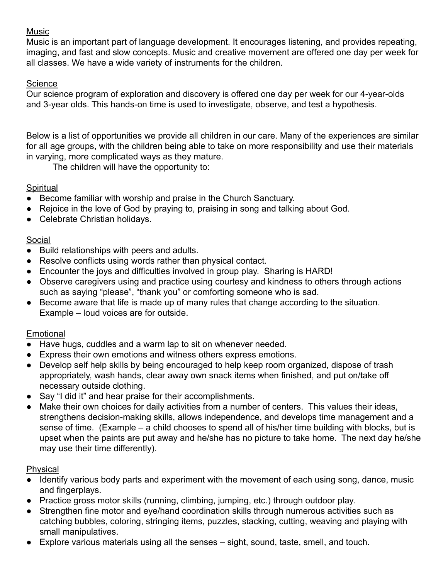# Music

Music is an important part of language development. It encourages listening, and provides repeating, imaging, and fast and slow concepts. Music and creative movement are offered one day per week for all classes. We have a wide variety of instruments for the children.

# **Science**

Our science program of exploration and discovery is offered one day per week for our 4-year-olds and 3-year olds. This hands-on time is used to investigate, observe, and test a hypothesis.

Below is a list of opportunities we provide all children in our care. Many of the experiences are similar for all age groups, with the children being able to take on more responsibility and use their materials in varying, more complicated ways as they mature.

The children will have the opportunity to:

# **Spiritual**

- Become familiar with worship and praise in the Church Sanctuary.
- Rejoice in the love of God by praying to, praising in song and talking about God.
- Celebrate Christian holidays.

# Social

- Build relationships with peers and adults.
- Resolve conflicts using words rather than physical contact.
- Encounter the joys and difficulties involved in group play. Sharing is HARD!
- Observe caregivers using and practice using courtesy and kindness to others through actions such as saying "please", "thank you" or comforting someone who is sad.
- Become aware that life is made up of many rules that change according to the situation. Example – loud voices are for outside.

# Emotional

- Have hugs, cuddles and a warm lap to sit on whenever needed.
- Express their own emotions and witness others express emotions.
- Develop self help skills by being encouraged to help keep room organized, dispose of trash appropriately, wash hands, clear away own snack items when finished, and put on/take off necessary outside clothing.
- Say "I did it" and hear praise for their accomplishments.
- Make their own choices for daily activities from a number of centers. This values their ideas, strengthens decision-making skills, allows independence, and develops time management and a sense of time. (Example – a child chooses to spend all of his/her time building with blocks, but is upset when the paints are put away and he/she has no picture to take home. The next day he/she may use their time differently).

# Physical

- Identify various body parts and experiment with the movement of each using song, dance, music and fingerplays.
- Practice gross motor skills (running, climbing, jumping, etc.) through outdoor play.
- Strengthen fine motor and eye/hand coordination skills through numerous activities such as catching bubbles, coloring, stringing items, puzzles, stacking, cutting, weaving and playing with small manipulatives.
- Explore various materials using all the senses sight, sound, taste, smell, and touch.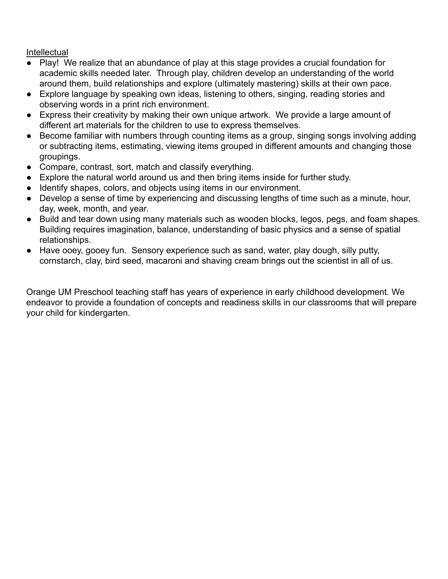Intellectual

- Play! We realize that an abundance of play at this stage provides a crucial foundation for academic skills needed later. Through play, children develop an understanding of the world around them, build relationships and explore (ultimately mastering) skills at their own pace.
- Explore language by speaking own ideas, listening to others, singing, reading stories and observing words in a print rich environment.
- Express their creativity by making their own unique artwork. We provide a large amount of different art materials for the children to use to express themselves.
- Become familiar with numbers through counting items as a group, singing songs involving adding or subtracting items, estimating, viewing items grouped in different amounts and changing those groupings.
- Compare, contrast, sort, match and classify everything.
- Explore the natural world around us and then bring items inside for further study.
- Identify shapes, colors, and objects using items in our environment.
- Develop a sense of time by experiencing and discussing lengths of time such as a minute, hour, day, week, month, and year.
- Build and tear down using many materials such as wooden blocks, legos, pegs, and foam shapes. Building requires imagination, balance, understanding of basic physics and a sense of spatial relationships.
- Have ooey, gooey fun. Sensory experience such as sand, water, play dough, silly putty, cornstarch, clay, bird seed, macaroni and shaving cream brings out the scientist in all of us.

Orange UM Preschool teaching staff has years of experience in early childhood development. We endeavor to provide a foundation of concepts and readiness skills in our classrooms that will prepare your child for kindergarten.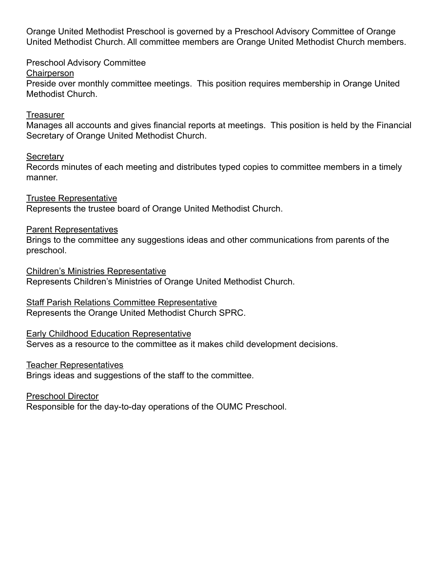Orange United Methodist Preschool is governed by a Preschool Advisory Committee of Orange United Methodist Church. All committee members are Orange United Methodist Church members.

Preschool Advisory Committee

**Chairperson** 

Preside over monthly committee meetings. This position requires membership in Orange United Methodist Church.

#### **Treasurer**

Manages all accounts and gives financial reports at meetings. This position is held by the Financial Secretary of Orange United Methodist Church.

### **Secretary**

Records minutes of each meeting and distributes typed copies to committee members in a timely manner.

Trustee Representative

Represents the trustee board of Orange United Methodist Church.

### Parent Representatives

Brings to the committee any suggestions ideas and other communications from parents of the preschool.

Children's Ministries Representative Represents Children's Ministries of Orange United Methodist Church.

Staff Parish Relations Committee Representative

Represents the Orange United Methodist Church SPRC.

### Early Childhood Education Representative

Serves as a resource to the committee as it makes child development decisions.

### Teacher Representatives

Brings ideas and suggestions of the staff to the committee.

Preschool Director

Responsible for the day-to-day operations of the OUMC Preschool.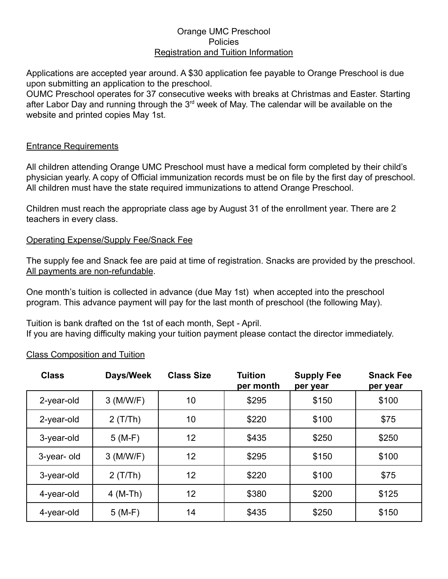#### Orange UMC Preschool Policies Registration and Tuition Information

Applications are accepted year around. A \$30 application fee payable to Orange Preschool is due upon submitting an application to the preschool.

OUMC Preschool operates for 37 consecutive weeks with breaks at Christmas and Easter. Starting after Labor Day and running through the 3<sup>rd</sup> week of May. The calendar will be available on the website and printed copies May 1st.

#### Entrance Requirements

All children attending Orange UMC Preschool must have a medical form completed by their child's physician yearly. A copy of Official immunization records must be on file by the first day of preschool. All children must have the state required immunizations to attend Orange Preschool.

Children must reach the appropriate class age by August 31 of the enrollment year. There are 2 teachers in every class.

#### Operating Expense/Supply Fee/Snack Fee

The supply fee and Snack fee are paid at time of registration. Snacks are provided by the preschool. All payments are non-refundable.

One month's tuition is collected in advance (due May 1st) when accepted into the preschool program. This advance payment will pay for the last month of preschool (the following May).

Tuition is bank drafted on the 1st of each month, Sept - April. If you are having difficulty making your tuition payment please contact the director immediately.

| <b>Class</b> | Days/Week   | <b>Class Size</b> | <b>Tuition</b><br>per month | <b>Supply Fee</b><br>per year | <b>Snack Fee</b><br>per year |
|--------------|-------------|-------------------|-----------------------------|-------------------------------|------------------------------|
| 2-year-old   | $3$ (M/W/F) | 10                | \$295                       | \$150                         | \$100                        |
| 2-year-old   | 2(T/Th)     | 10                | \$220                       | \$100                         | \$75                         |
| 3-year-old   | $5(M-F)$    | 12                | \$435                       | \$250                         | \$250                        |
| 3-year-old   | $3$ (M/W/F) | 12                | \$295                       | \$150                         | \$100                        |
| 3-year-old   | 2(T/Th)     | 12                | \$220                       | \$100                         | \$75                         |
| 4-year-old   | $4$ (M-Th)  | 12                | \$380                       | \$200                         | \$125                        |
| 4-year-old   | $5(M-F)$    | 14                | \$435                       | \$250                         | \$150                        |

Class Composition and Tuition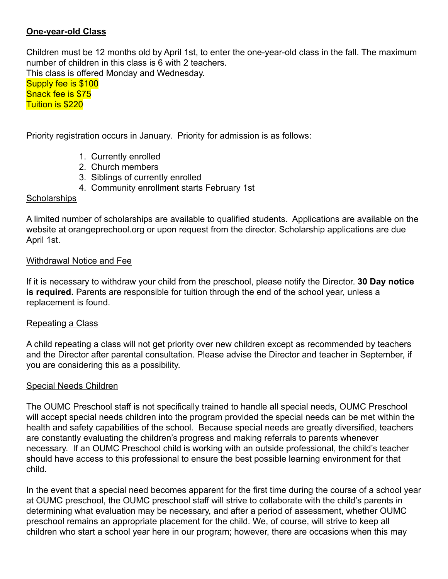### **One-year-old Class**

Children must be 12 months old by April 1st, to enter the one-year-old class in the fall. The maximum number of children in this class is 6 with 2 teachers.

This class is offered Monday and Wednesday.

Supply fee is \$100 Snack fee is \$75 Tuition is \$220

Priority registration occurs in January. Priority for admission is as follows:

- 1. Currently enrolled
- 2. Church members
- 3. Siblings of currently enrolled
- 4. Community enrollment starts February 1st

### **Scholarships**

A limited number of scholarships are available to qualified students. Applications are available on the website at orangeprechool.org or upon request from the director. Scholarship applications are due April 1st.

### Withdrawal Notice and Fee

If it is necessary to withdraw your child from the preschool, please notify the Director. **30 Day notice is required.** Parents are responsible for tuition through the end of the school year, unless a replacement is found.

### Repeating a Class

A child repeating a class will not get priority over new children except as recommended by teachers and the Director after parental consultation. Please advise the Director and teacher in September, if you are considering this as a possibility.

### Special Needs Children

The OUMC Preschool staff is not specifically trained to handle all special needs, OUMC Preschool will accept special needs children into the program provided the special needs can be met within the health and safety capabilities of the school. Because special needs are greatly diversified, teachers are constantly evaluating the children's progress and making referrals to parents whenever necessary. If an OUMC Preschool child is working with an outside professional, the child's teacher should have access to this professional to ensure the best possible learning environment for that child.

In the event that a special need becomes apparent for the first time during the course of a school year at OUMC preschool, the OUMC preschool staff will strive to collaborate with the child's parents in determining what evaluation may be necessary, and after a period of assessment, whether OUMC preschool remains an appropriate placement for the child. We, of course, will strive to keep all children who start a school year here in our program; however, there are occasions when this may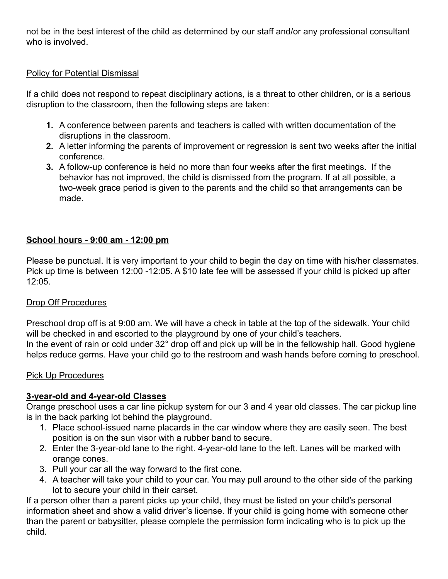not be in the best interest of the child as determined by our staff and/or any professional consultant who is involved.

### Policy for Potential Dismissal

If a child does not respond to repeat disciplinary actions, is a threat to other children, or is a serious disruption to the classroom, then the following steps are taken:

- **1.** A conference between parents and teachers is called with written documentation of the disruptions in the classroom.
- **2.** A letter informing the parents of improvement or regression is sent two weeks after the initial conference.
- **3.** A follow-up conference is held no more than four weeks after the first meetings. If the behavior has not improved, the child is dismissed from the program. If at all possible, a two-week grace period is given to the parents and the child so that arrangements can be made.

### **School hours - 9:00 am - 12:00 pm**

Please be punctual. It is very important to your child to begin the day on time with his/her classmates. Pick up time is between 12:00 -12:05. A \$10 late fee will be assessed if your child is picked up after 12:05.

### Drop Off Procedures

Preschool drop off is at 9:00 am. We will have a check in table at the top of the sidewalk. Your child will be checked in and escorted to the playground by one of your child's teachers. In the event of rain or cold under 32° drop off and pick up will be in the fellowship hall. Good hygiene helps reduce germs. Have your child go to the restroom and wash hands before coming to preschool.

### Pick Up Procedures

### **3-year-old and 4-year-old Classes**

Orange preschool uses a car line pickup system for our 3 and 4 year old classes. The car pickup line is in the back parking lot behind the playground.

- 1. Place school-issued name placards in the car window where they are easily seen. The best position is on the sun visor with a rubber band to secure.
- 2. Enter the 3-year-old lane to the right. 4-year-old lane to the left. Lanes will be marked with orange cones.
- 3. Pull your car all the way forward to the first cone.
- 4. A teacher will take your child to your car. You may pull around to the other side of the parking lot to secure your child in their carset.

If a person other than a parent picks up your child, they must be listed on your child's personal information sheet and show a valid driver's license. If your child is going home with someone other than the parent or babysitter, please complete the permission form indicating who is to pick up the child.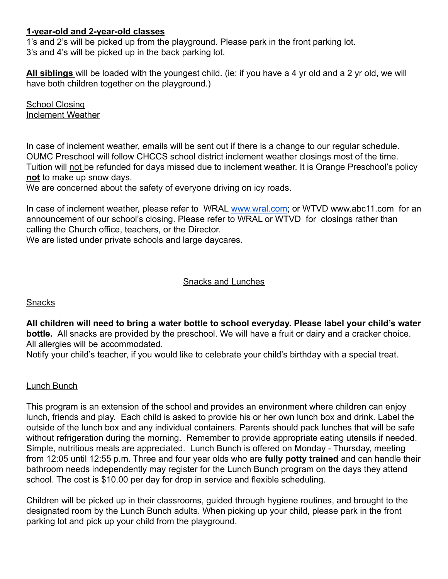### **1-year-old and 2-year-old classes**

1's and 2's will be picked up from the playground. Please park in the front parking lot. 3's and 4's will be picked up in the back parking lot.

**All siblings** will be loaded with the youngest child. (ie: if you have a 4 yr old and a 2 yr old, we will have both children together on the playground.)

**School Closing** Inclement Weather

In case of inclement weather, emails will be sent out if there is a change to our regular schedule. OUMC Preschool will follow CHCCS school district inclement weather closings most of the time. Tuition will not be refunded for days missed due to inclement weather. It is Orange Preschool's policy **not** to make up snow days.

We are concerned about the safety of everyone driving on icy roads.

In case of inclement weather, please refer to WRAL [www.wral.com;](http://www.wral.com) or WTVD www.abc11.com for an announcement of our school's closing. Please refer to WRAL or WTVD for closings rather than calling the Church office, teachers, or the Director.

We are listed under private schools and large daycares.

#### Snacks and Lunches

#### **Snacks**

**All children will need to bring a water bottle to school everyday. Please label your child's water bottle.** All snacks are provided by the preschool. We will have a fruit or dairy and a cracker choice. All allergies will be accommodated.

Notify your child's teacher, if you would like to celebrate your child's birthday with a special treat.

### Lunch Bunch

This program is an extension of the school and provides an environment where children can enjoy lunch, friends and play. Each child is asked to provide his or her own lunch box and drink. Label the outside of the lunch box and any individual containers. Parents should pack lunches that will be safe without refrigeration during the morning. Remember to provide appropriate eating utensils if needed. Simple, nutritious meals are appreciated. Lunch Bunch is offered on Monday - Thursday, meeting from 12:05 until 12:55 p.m. Three and four year olds who are **fully potty trained** and can handle their bathroom needs independently may register for the Lunch Bunch program on the days they attend school. The cost is \$10.00 per day for drop in service and flexible scheduling.

Children will be picked up in their classrooms, guided through hygiene routines, and brought to the designated room by the Lunch Bunch adults. When picking up your child, please park in the front parking lot and pick up your child from the playground.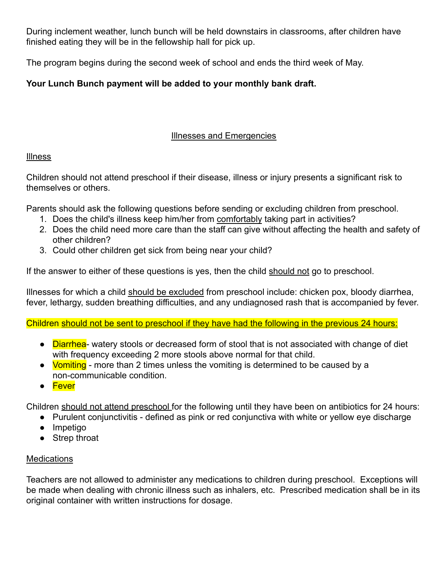During inclement weather, lunch bunch will be held downstairs in classrooms, after children have finished eating they will be in the fellowship hall for pick up.

The program begins during the second week of school and ends the third week of May.

# **Your Lunch Bunch payment will be added to your monthly bank draft.**

# Illnesses and Emergencies

### **Illness**

Children should not attend preschool if their disease, illness or injury presents a significant risk to themselves or others.

Parents should ask the following questions before sending or excluding children from preschool.

- 1. Does the child's illness keep him/her from comfortably taking part in activities?
- 2. Does the child need more care than the staff can give without affecting the health and safety of other children?
- 3. Could other children get sick from being near your child?

If the answer to either of these questions is yes, then the child should not go to preschool.

Illnesses for which a child should be excluded from preschool include: chicken pox, bloody diarrhea, fever, lethargy, sudden breathing difficulties, and any undiagnosed rash that is accompanied by fever.

Children should not be sent to preschool if they have had the following in the previous 24 hours:

- Diarrhea- watery stools or decreased form of stool that is not associated with change of diet with frequency exceeding 2 more stools above normal for that child.
- Vomiting more than 2 times unless the vomiting is determined to be caused by a non-communicable condition.
- Fever

Children should not attend preschool for the following until they have been on antibiotics for 24 hours:

- Purulent conjunctivitis defined as pink or red conjunctiva with white or yellow eye discharge
- Impetigo
- Strep throat

# **Medications**

Teachers are not allowed to administer any medications to children during preschool. Exceptions will be made when dealing with chronic illness such as inhalers, etc. Prescribed medication shall be in its original container with written instructions for dosage.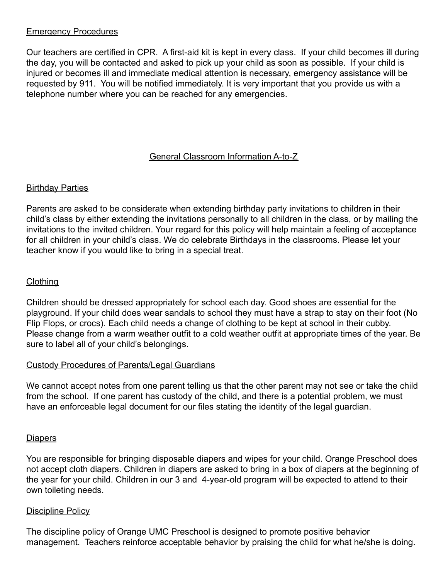#### Emergency Procedures

Our teachers are certified in CPR. A first-aid kit is kept in every class. If your child becomes ill during the day, you will be contacted and asked to pick up your child as soon as possible. If your child is injured or becomes ill and immediate medical attention is necessary, emergency assistance will be requested by 911. You will be notified immediately. It is very important that you provide us with a telephone number where you can be reached for any emergencies.

### General Classroom Information A-to-Z

#### **Birthday Parties**

Parents are asked to be considerate when extending birthday party invitations to children in their child's class by either extending the invitations personally to all children in the class, or by mailing the invitations to the invited children. Your regard for this policy will help maintain a feeling of acceptance for all children in your child's class. We do celebrate Birthdays in the classrooms. Please let your teacher know if you would like to bring in a special treat.

#### **Clothing**

Children should be dressed appropriately for school each day. Good shoes are essential for the playground. If your child does wear sandals to school they must have a strap to stay on their foot (No Flip Flops, or crocs). Each child needs a change of clothing to be kept at school in their cubby. Please change from a warm weather outfit to a cold weather outfit at appropriate times of the year. Be sure to label all of your child's belongings.

#### Custody Procedures of Parents/Legal Guardians

We cannot accept notes from one parent telling us that the other parent may not see or take the child from the school. If one parent has custody of the child, and there is a potential problem, we must have an enforceable legal document for our files stating the identity of the legal guardian.

#### **Diapers**

You are responsible for bringing disposable diapers and wipes for your child. Orange Preschool does not accept cloth diapers. Children in diapers are asked to bring in a box of diapers at the beginning of the year for your child. Children in our 3 and 4-year-old program will be expected to attend to their own toileting needs.

#### Discipline Policy

The discipline policy of Orange UMC Preschool is designed to promote positive behavior management. Teachers reinforce acceptable behavior by praising the child for what he/she is doing.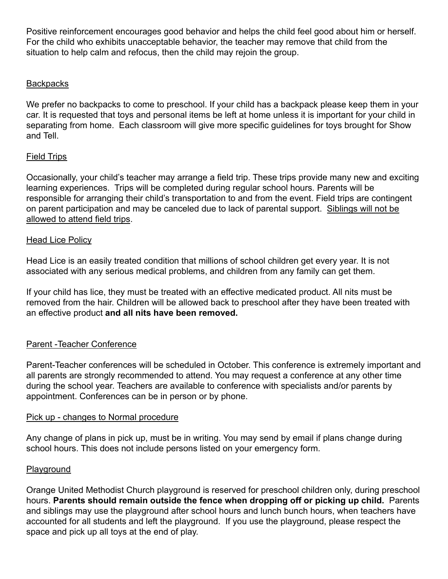Positive reinforcement encourages good behavior and helps the child feel good about him or herself. For the child who exhibits unacceptable behavior, the teacher may remove that child from the situation to help calm and refocus, then the child may rejoin the group.

#### **Backpacks**

We prefer no backpacks to come to preschool. If your child has a backpack please keep them in your car. It is requested that toys and personal items be left at home unless it is important for your child in separating from home. Each classroom will give more specific guidelines for toys brought for Show and Tell.

#### Field Trips

Occasionally, your child's teacher may arrange a field trip. These trips provide many new and exciting learning experiences. Trips will be completed during regular school hours. Parents will be responsible for arranging their child's transportation to and from the event. Field trips are contingent on parent participation and may be canceled due to lack of parental support. Siblings will not be allowed to attend field trips.

#### **Head Lice Policy**

Head Lice is an easily treated condition that millions of school children get every year. It is not associated with any serious medical problems, and children from any family can get them.

If your child has lice, they must be treated with an effective medicated product. All nits must be removed from the hair. Children will be allowed back to preschool after they have been treated with an effective product **and all nits have been removed.**

### Parent -Teacher Conference

Parent-Teacher conferences will be scheduled in October. This conference is extremely important and all parents are strongly recommended to attend. You may request a conference at any other time during the school year. Teachers are available to conference with specialists and/or parents by appointment. Conferences can be in person or by phone.

#### Pick up - changes to Normal procedure

Any change of plans in pick up, must be in writing. You may send by email if plans change during school hours. This does not include persons listed on your emergency form.

#### **Playground**

Orange United Methodist Church playground is reserved for preschool children only, during preschool hours. **Parents should remain outside the fence when dropping off or picking up child.** Parents and siblings may use the playground after school hours and lunch bunch hours, when teachers have accounted for all students and left the playground. If you use the playground, please respect the space and pick up all toys at the end of play.